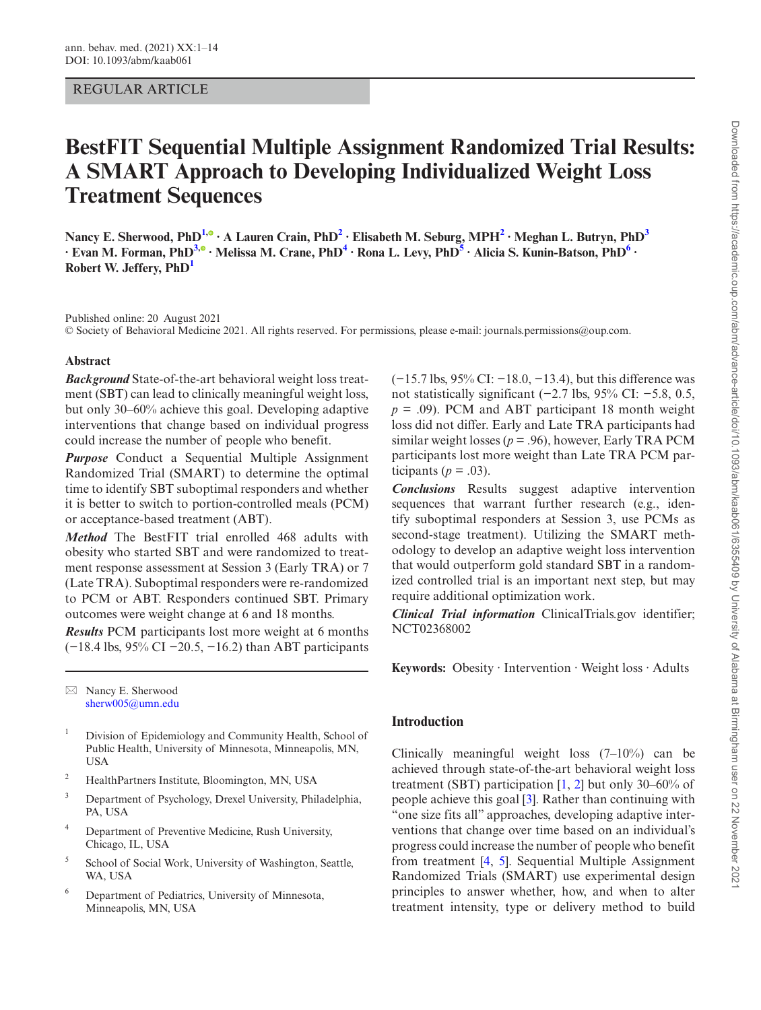# REGULAR ARTICLE

# **BestFIT Sequential Multiple Assignment Randomized Trial Results: A SMART Approach to Developing Individualized Weight Loss Treatment Sequences**

<code>Nancy E. Sherwood, PhD<sup>[1](#page-0-0),⊙</sup> ∙ A Lauren Crain[,](https://orcid.org/0000-0002-3365-9018) PhD<sup>[2](#page-0-1)</sup> ∙ Elisabeth M. Seburg, MPH<sup>2</sup> ∙ Meghan L. Butryn, PhD<sup>[3](#page-0-2)</sup></code> **∙ Evan M. Forman, PhD[3](#page-0-2)[,](https://orcid.org/0000-0001-7233-1384) ∙ Melissa M. Crane, Ph[D4](#page-0-3) ∙ Rona L. Levy, PhD[5](#page-0-4) ∙ Alicia S. Kunin-Batson, Ph[D6](#page-0-5) ∙ Robert W. Jeffery, PhD[1](#page-0-0)**

Published online: 20 August 2021 © Society of Behavioral Medicine 2021. All rights reserved. For permissions, please e-mail: journals.permissions@oup.com.

# **Abstract**

*Background* State-of-the-art behavioral weight loss treatment (SBT) can lead to clinically meaningful weight loss, but only 30–60% achieve this goal. Developing adaptive interventions that change based on individual progress could increase the number of people who benefit.

*Purpose* Conduct a Sequential Multiple Assignment Randomized Trial (SMART) to determine the optimal time to identify SBT suboptimal responders and whether it is better to switch to portion-controlled meals (PCM) or acceptance-based treatment (ABT).

*Method* The BestFIT trial enrolled 468 adults with obesity who started SBT and were randomized to treatment response assessment at Session 3 (Early TRA) or 7 (Late TRA). Suboptimal responders were re-randomized to PCM or ABT. Responders continued SBT. Primary outcomes were weight change at 6 and 18 months.

*Results* PCM participants lost more weight at 6 months (−18.4 lbs, 95% CI −20.5, −16.2) than ABT participants

 $\boxtimes$  Nancy E. Sherwood [sherw005@umn.edu](mailto:sherw005@umn.edu?subject=)

- <span id="page-0-0"></span><sup>1</sup> Division of Epidemiology and Community Health, School of Public Health, University of Minnesota, Minneapolis, MN, USA
- <span id="page-0-1"></span><sup>2</sup> HealthPartners Institute, Bloomington, MN, USA
- <span id="page-0-2"></span><sup>3</sup> Department of Psychology, Drexel University, Philadelphia, PA, USA
- <span id="page-0-3"></span><sup>4</sup> Department of Preventive Medicine, Rush University, Chicago, IL, USA
- <span id="page-0-4"></span><sup>5</sup> School of Social Work, University of Washington, Seattle, WA, USA
- <span id="page-0-5"></span><sup>6</sup> Department of Pediatrics, University of Minnesota, Minneapolis, MN, USA

(−15.7 lbs, 95% CI: −18.0, −13.4), but this difference was not statistically significant (−2.7 lbs, 95% CI: −5.8, 0.5,  $p = .09$ ). PCM and ABT participant 18 month weight loss did not differ. Early and Late TRA participants had similar weight losses ( $p = .96$ ), however, Early TRA PCM participants lost more weight than Late TRA PCM participants ( $p = .03$ ).

*Conclusions* Results suggest adaptive intervention sequences that warrant further research (e.g., identify suboptimal responders at Session 3, use PCMs as second-stage treatment). Utilizing the SMART methodology to develop an adaptive weight loss intervention that would outperform gold standard SBT in a randomized controlled trial is an important next step, but may require additional optimization work.

*Clinical Trial information* ClinicalTrials.gov identifier; NCT02368002

**Keywords:** Obesity ∙ Intervention ∙ Weight loss ∙ Adults

# **Introduction**

Clinically meaningful weight loss (7–10%) can be achieved through state-of-the-art behavioral weight loss treatment (SBT) participation  $[1, 2]$  $[1, 2]$  $[1, 2]$  but only 30–60% of people achieve this goal [[3\]](#page-12-2). Rather than continuing with "one size fits all" approaches, developing adaptive interventions that change over time based on an individual's progress could increase the number of people who benefit from treatment [[4,](#page-12-3) [5](#page-12-4)]. Sequential Multiple Assignment Randomized Trials (SMART) use experimental design principles to answer whether, how, and when to alter treatment intensity, type or delivery method to build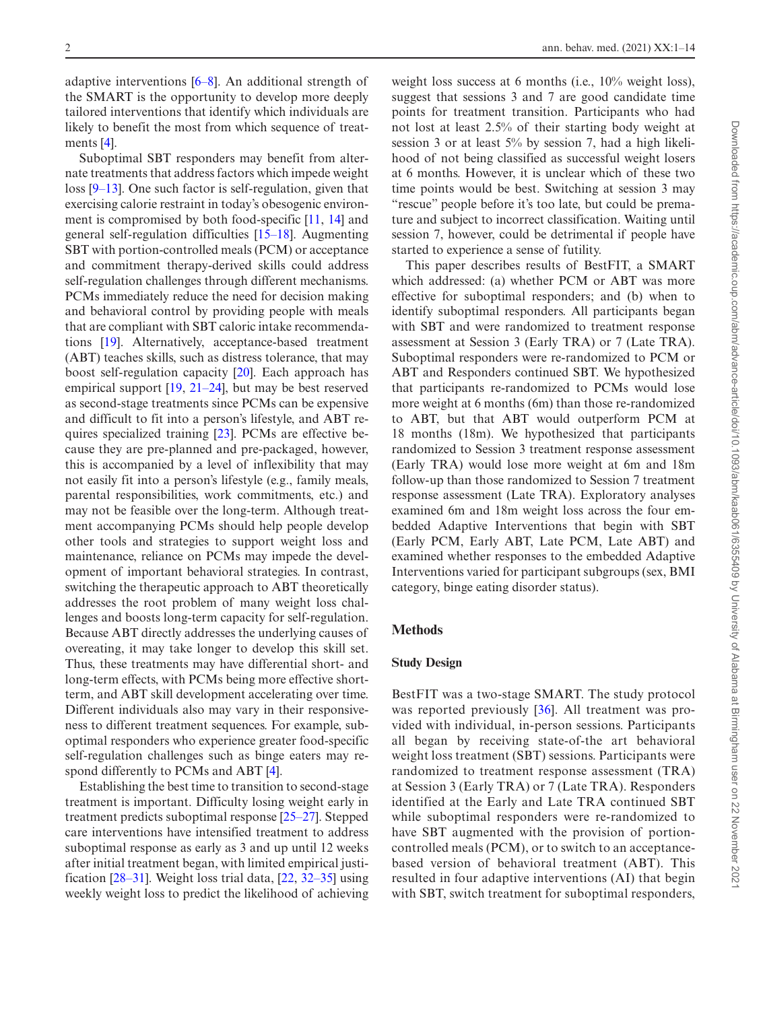adaptive interventions [\[6](#page-12-5)[–8](#page-12-6)]. An additional strength of the SMART is the opportunity to develop more deeply tailored interventions that identify which individuals are likely to benefit the most from which sequence of treatments [[4\]](#page-12-3).

Suboptimal SBT responders may benefit from alternate treatments that address factors which impede weight loss [\[9](#page-12-7)[–13](#page-12-8)]. One such factor is self-regulation, given that exercising calorie restraint in today's obesogenic environment is compromised by both food-specific [\[11](#page-12-9), [14\]](#page-12-10) and general self-regulation difficulties [[15–](#page-12-11)[18\]](#page-13-0). Augmenting SBT with portion-controlled meals (PCM) or acceptance and commitment therapy-derived skills could address self-regulation challenges through different mechanisms. PCMs immediately reduce the need for decision making and behavioral control by providing people with meals that are compliant with SBT caloric intake recommendations [\[19](#page-13-1)]. Alternatively, acceptance-based treatment (ABT) teaches skills, such as distress tolerance, that may boost self-regulation capacity [\[20](#page-13-2)]. Each approach has empirical support [[19,](#page-13-1) [21–](#page-13-3)[24\]](#page-13-4), but may be best reserved as second-stage treatments since PCMs can be expensive and difficult to fit into a person's lifestyle, and ABT requires specialized training [\[23](#page-13-5)]. PCMs are effective because they are pre-planned and pre-packaged, however, this is accompanied by a level of inflexibility that may not easily fit into a person's lifestyle (e.g., family meals, parental responsibilities, work commitments, etc.) and may not be feasible over the long-term. Although treatment accompanying PCMs should help people develop other tools and strategies to support weight loss and maintenance, reliance on PCMs may impede the development of important behavioral strategies. In contrast, switching the therapeutic approach to ABT theoretically addresses the root problem of many weight loss challenges and boosts long-term capacity for self-regulation. Because ABT directly addresses the underlying causes of overeating, it may take longer to develop this skill set. Thus, these treatments may have differential short- and long-term effects, with PCMs being more effective shortterm, and ABT skill development accelerating over time. Different individuals also may vary in their responsiveness to different treatment sequences. For example, suboptimal responders who experience greater food-specific self-regulation challenges such as binge eaters may respond differently to PCMs and ABT [[4\]](#page-12-3).

Establishing the best time to transition to second-stage treatment is important. Difficulty losing weight early in treatment predicts suboptimal response [[25–](#page-13-6)[27\]](#page-13-7). Stepped care interventions have intensified treatment to address suboptimal response as early as 3 and up until 12 weeks after initial treatment began, with limited empirical justification [[28–](#page-13-8)[31\]](#page-13-9). Weight loss trial data, [\[22](#page-13-10), [32–](#page-13-11)[35\]](#page-13-12) using weekly weight loss to predict the likelihood of achieving weight loss success at 6 months (i.e., 10% weight loss), suggest that sessions 3 and 7 are good candidate time points for treatment transition. Participants who had not lost at least 2.5% of their starting body weight at session 3 or at least 5% by session 7, had a high likelihood of not being classified as successful weight losers at 6 months. However, it is unclear which of these two time points would be best. Switching at session 3 may "rescue" people before it's too late, but could be premature and subject to incorrect classification. Waiting until session 7, however, could be detrimental if people have started to experience a sense of futility.

This paper describes results of BestFIT, a SMART which addressed: (a) whether PCM or ABT was more effective for suboptimal responders; and (b) when to identify suboptimal responders. All participants began with SBT and were randomized to treatment response assessment at Session 3 (Early TRA) or 7 (Late TRA). Suboptimal responders were re-randomized to PCM or ABT and Responders continued SBT. We hypothesized that participants re-randomized to PCMs would lose more weight at 6 months (6m) than those re-randomized to ABT, but that ABT would outperform PCM at 18 months (18m). We hypothesized that participants randomized to Session 3 treatment response assessment (Early TRA) would lose more weight at 6m and 18m follow-up than those randomized to Session 7 treatment response assessment (Late TRA). Exploratory analyses examined 6m and 18m weight loss across the four embedded Adaptive Interventions that begin with SBT (Early PCM, Early ABT, Late PCM, Late ABT) and examined whether responses to the embedded Adaptive Interventions varied for participant subgroups (sex, BMI category, binge eating disorder status).

# **Methods**

#### **Study Design**

BestFIT was a two-stage SMART. The study protocol was reported previously [[36](#page-13-13)]. All treatment was provided with individual, in-person sessions. Participants all began by receiving state-of-the art behavioral weight loss treatment (SBT) sessions. Participants were randomized to treatment response assessment (TRA) at Session 3 (Early TRA) or 7 (Late TRA). Responders identified at the Early and Late TRA continued SBT while suboptimal responders were re-randomized to have SBT augmented with the provision of portioncontrolled meals (PCM), or to switch to an acceptancebased version of behavioral treatment (ABT). This resulted in four adaptive interventions (AI) that begin with SBT, switch treatment for suboptimal responders,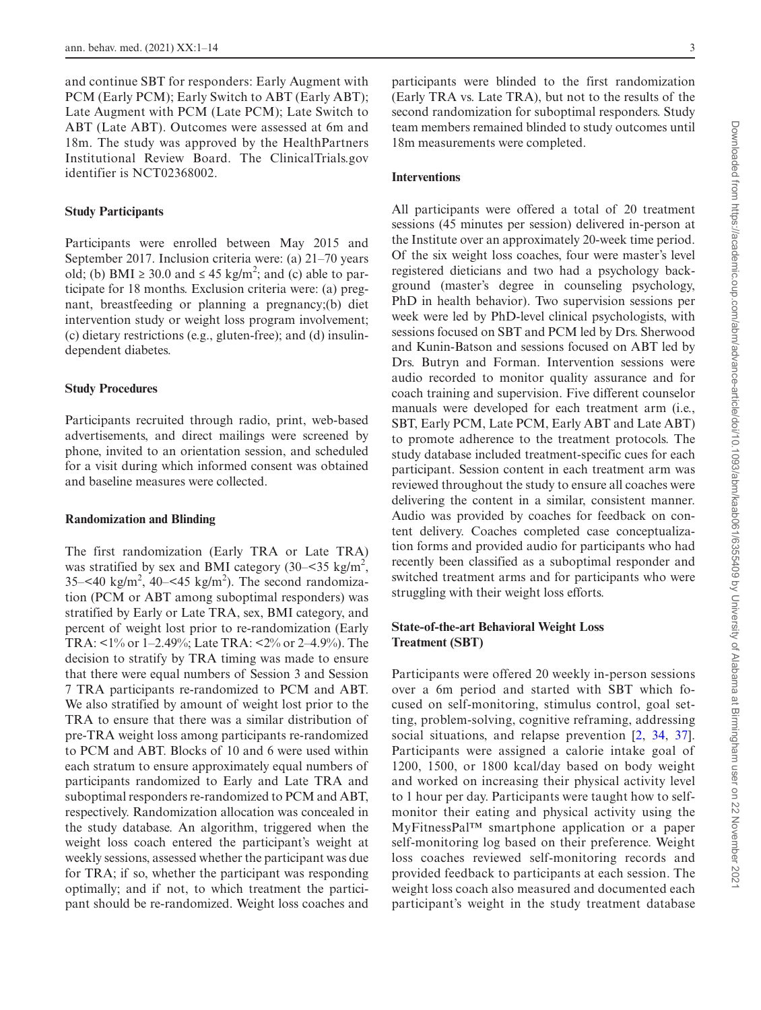and continue SBT for responders: Early Augment with PCM (Early PCM); Early Switch to ABT (Early ABT); Late Augment with PCM (Late PCM); Late Switch to ABT (Late ABT). Outcomes were assessed at 6m and 18m. The study was approved by the HealthPartners Institutional Review Board. The ClinicalTrials.gov identifier is NCT02368002.

#### **Study Participants**

Participants were enrolled between May 2015 and September 2017. Inclusion criteria were: (a) 21–70 years old; (b) BMI  $\geq$  30.0 and  $\leq$  45 kg/m<sup>2</sup>; and (c) able to participate for 18 months. Exclusion criteria were: (a) pregnant, breastfeeding or planning a pregnancy;(b) diet intervention study or weight loss program involvement; (c) dietary restrictions (e.g., gluten-free); and (d) insulindependent diabetes.

# **Study Procedures**

Participants recruited through radio, print, web-based advertisements, and direct mailings were screened by phone, invited to an orientation session, and scheduled for a visit during which informed consent was obtained and baseline measures were collected.

### **Randomization and Blinding**

The first randomization (Early TRA or Late TRA) was stratified by sex and BMI category  $(30 - 535 \text{ kg/m}^2)$ ,  $35-<$ 40 kg/m<sup>2</sup>, 40- $<$ 45 kg/m<sup>2</sup>). The second randomization (PCM or ABT among suboptimal responders) was stratified by Early or Late TRA, sex, BMI category, and percent of weight lost prior to re-randomization (Early TRA: <1% or 1–2.49%; Late TRA: <2% or 2–4.9%). The decision to stratify by TRA timing was made to ensure that there were equal numbers of Session 3 and Session 7 TRA participants re-randomized to PCM and ABT. We also stratified by amount of weight lost prior to the TRA to ensure that there was a similar distribution of pre-TRA weight loss among participants re-randomized to PCM and ABT. Blocks of 10 and 6 were used within each stratum to ensure approximately equal numbers of participants randomized to Early and Late TRA and suboptimal responders re-randomized to PCM and ABT, respectively. Randomization allocation was concealed in the study database. An algorithm, triggered when the weight loss coach entered the participant's weight at weekly sessions, assessed whether the participant was due for TRA; if so, whether the participant was responding optimally; and if not, to which treatment the participant should be re-randomized. Weight loss coaches and

participants were blinded to the first randomization (Early TRA vs. Late TRA), but not to the results of the second randomization for suboptimal responders. Study team members remained blinded to study outcomes until 18m measurements were completed.

#### **Interventions**

All participants were offered a total of 20 treatment sessions (45 minutes per session) delivered in-person at the Institute over an approximately 20-week time period. Of the six weight loss coaches, four were master's level registered dieticians and two had a psychology background (master's degree in counseling psychology, PhD in health behavior). Two supervision sessions per week were led by PhD-level clinical psychologists, with sessions focused on SBT and PCM led by Drs. Sherwood and Kunin-Batson and sessions focused on ABT led by Drs. Butryn and Forman. Intervention sessions were audio recorded to monitor quality assurance and for coach training and supervision. Five different counselor manuals were developed for each treatment arm (i.e., SBT, Early PCM, Late PCM, Early ABT and Late ABT) to promote adherence to the treatment protocols. The study database included treatment-specific cues for each participant. Session content in each treatment arm was reviewed throughout the study to ensure all coaches were delivering the content in a similar, consistent manner. Audio was provided by coaches for feedback on content delivery. Coaches completed case conceptualization forms and provided audio for participants who had recently been classified as a suboptimal responder and switched treatment arms and for participants who were struggling with their weight loss efforts.

# **State-of-the-art Behavioral Weight Loss Treatment (SBT)**

Participants were offered 20 weekly in-person sessions over a 6m period and started with SBT which focused on self-monitoring, stimulus control, goal setting, problem-solving, cognitive reframing, addressing social situations, and relapse prevention [[2,](#page-12-1) [34,](#page-13-14) [37\]](#page-13-15). Participants were assigned a calorie intake goal of 1200, 1500, or 1800 kcal/day based on body weight and worked on increasing their physical activity level to 1 hour per day. Participants were taught how to selfmonitor their eating and physical activity using the MyFitnessPal™ smartphone application or a paper self-monitoring log based on their preference. Weight loss coaches reviewed self-monitoring records and provided feedback to participants at each session. The weight loss coach also measured and documented each participant's weight in the study treatment database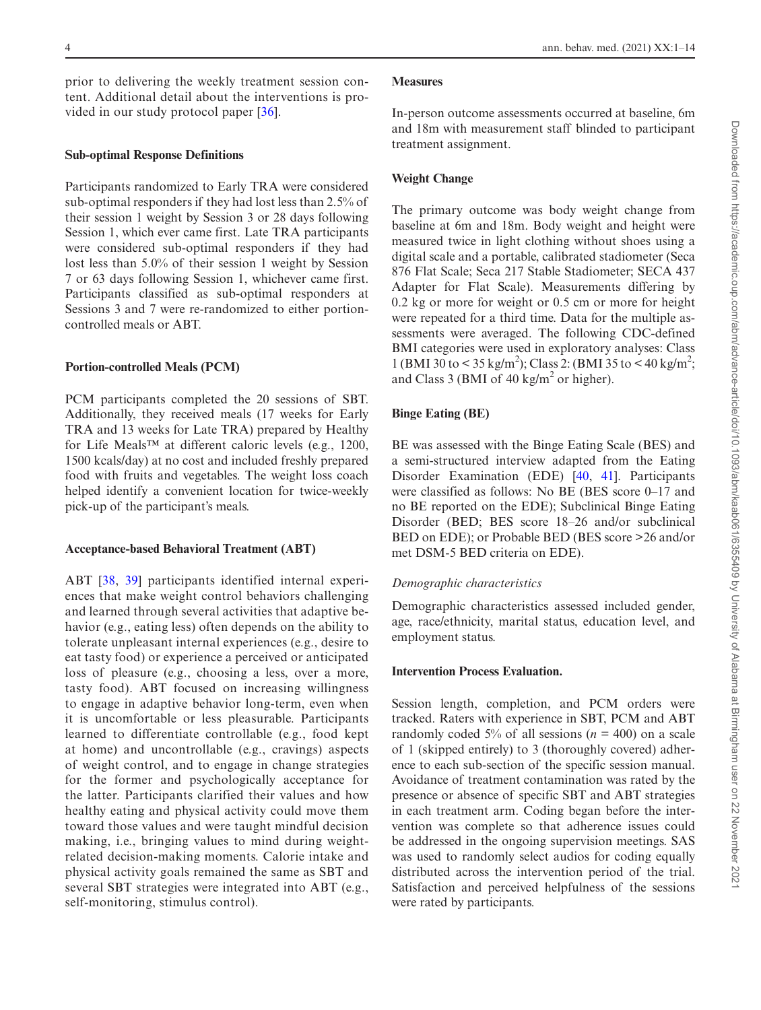prior to delivering the weekly treatment session content. Additional detail about the interventions is provided in our study protocol paper [\[36\]](#page-13-13).

#### **Sub-optimal Response Definitions**

Participants randomized to Early TRA were considered sub-optimal responders if they had lost less than 2.5% of their session 1 weight by Session 3 or 28 days following Session 1, which ever came first. Late TRA participants were considered sub-optimal responders if they had lost less than 5.0% of their session 1 weight by Session 7 or 63 days following Session 1, whichever came first. Participants classified as sub-optimal responders at Sessions 3 and 7 were re-randomized to either portioncontrolled meals or ABT.

## **Portion-controlled Meals (PCM)**

PCM participants completed the 20 sessions of SBT. Additionally, they received meals (17 weeks for Early TRA and 13 weeks for Late TRA) prepared by Healthy for Life Meals™ at different caloric levels (e.g., 1200, 1500 kcals/day) at no cost and included freshly prepared food with fruits and vegetables. The weight loss coach helped identify a convenient location for twice-weekly pick-up of the participant's meals.

#### **Acceptance-based Behavioral Treatment (ABT)**

ABT [[38](#page-13-16), [39](#page-13-17)] participants identified internal experiences that make weight control behaviors challenging and learned through several activities that adaptive behavior (e.g., eating less) often depends on the ability to tolerate unpleasant internal experiences (e.g., desire to eat tasty food) or experience a perceived or anticipated loss of pleasure (e.g., choosing a less, over a more, tasty food). ABT focused on increasing willingness to engage in adaptive behavior long-term, even when it is uncomfortable or less pleasurable. Participants learned to differentiate controllable (e.g., food kept at home) and uncontrollable (e.g., cravings) aspects of weight control, and to engage in change strategies for the former and psychologically acceptance for the latter. Participants clarified their values and how healthy eating and physical activity could move them toward those values and were taught mindful decision making, i.e., bringing values to mind during weightrelated decision-making moments. Calorie intake and physical activity goals remained the same as SBT and several SBT strategies were integrated into ABT (e.g., self-monitoring, stimulus control).

# **Measures**

In-person outcome assessments occurred at baseline, 6m and 18m with measurement staff blinded to participant treatment assignment.

# **Weight Change**

The primary outcome was body weight change from baseline at 6m and 18m. Body weight and height were measured twice in light clothing without shoes using a digital scale and a portable, calibrated stadiometer (Seca 876 Flat Scale; Seca 217 Stable Stadiometer; SECA 437 Adapter for Flat Scale). Measurements differing by 0.2 kg or more for weight or 0.5 cm or more for height were repeated for a third time. Data for the multiple assessments were averaged. The following CDC-defined BMI categories were used in exploratory analyses: Class 1 (BMI 30 to < 35 kg/m<sup>2</sup>); Class 2: (BMI 35 to < 40 kg/m<sup>2</sup>; and Class 3 (BMI of 40 kg/m<sup>2</sup> or higher).

# **Binge Eating (BE)**

BE was assessed with the Binge Eating Scale (BES) and a semi-structured interview adapted from the Eating Disorder Examination (EDE) [\[40](#page-13-18), [41\]](#page-13-19). Participants were classified as follows: No BE (BES score 0–17 and no BE reported on the EDE); Subclinical Binge Eating Disorder (BED; BES score 18–26 and/or subclinical BED on EDE); or Probable BED (BES score >26 and/or met DSM-5 BED criteria on EDE).

#### *Demographic characteristics*

Demographic characteristics assessed included gender, age, race/ethnicity, marital status, education level, and employment status.

## **Intervention Process Evaluation.**

Session length, completion, and PCM orders were tracked. Raters with experience in SBT, PCM and ABT randomly coded 5% of all sessions ( $n = 400$ ) on a scale of 1 (skipped entirely) to 3 (thoroughly covered) adherence to each sub-section of the specific session manual. Avoidance of treatment contamination was rated by the presence or absence of specific SBT and ABT strategies in each treatment arm. Coding began before the intervention was complete so that adherence issues could be addressed in the ongoing supervision meetings. SAS was used to randomly select audios for coding equally distributed across the intervention period of the trial. Satisfaction and perceived helpfulness of the sessions were rated by participants.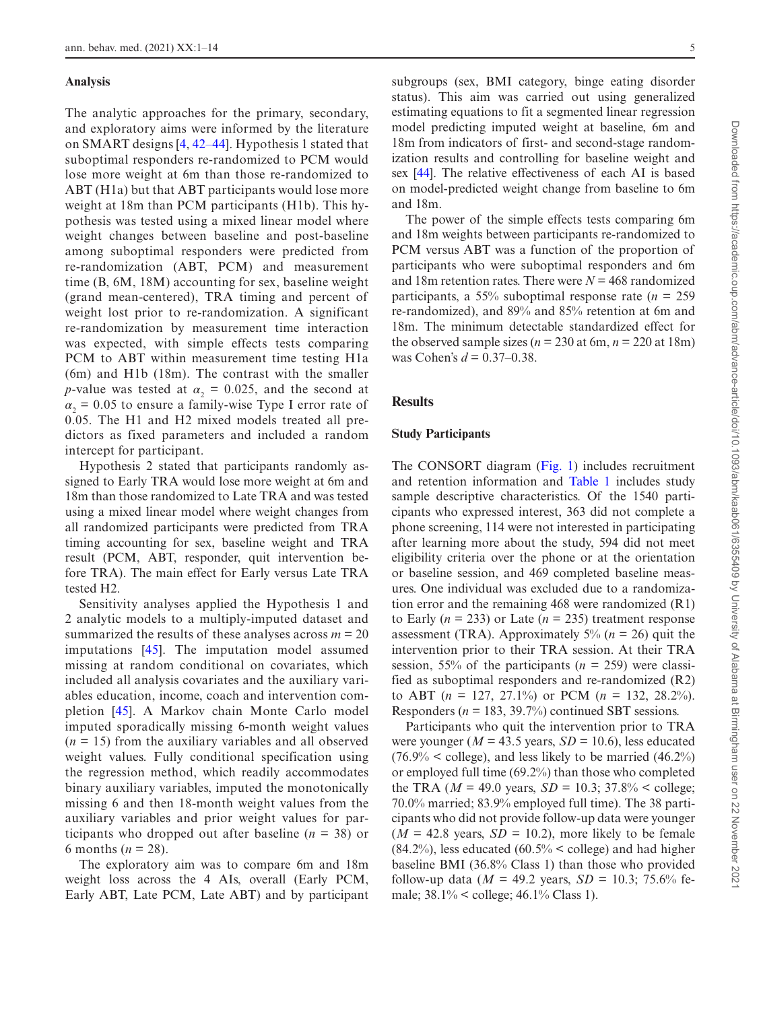#### **Analysis**

The analytic approaches for the primary, secondary, and exploratory aims were informed by the literature on SMART designs [[4,](#page-12-3) [42](#page-13-20)[–44\]](#page-13-21). Hypothesis 1 stated that suboptimal responders re-randomized to PCM would lose more weight at 6m than those re-randomized to ABT (H1a) but that ABT participants would lose more weight at 18m than PCM participants (H1b). This hypothesis was tested using a mixed linear model where weight changes between baseline and post-baseline among suboptimal responders were predicted from re-randomization (ABT, PCM) and measurement time (B, 6M, 18M) accounting for sex, baseline weight (grand mean-centered), TRA timing and percent of weight lost prior to re-randomization. A significant re-randomization by measurement time interaction was expected, with simple effects tests comparing PCM to ABT within measurement time testing H1a (6m) and H1b (18m). The contrast with the smaller *p*-value was tested at  $\alpha_2 = 0.025$ , and the second at  $\alpha_2$  = 0.05 to ensure a family-wise Type I error rate of 0.05. The H1 and H2 mixed models treated all predictors as fixed parameters and included a random intercept for participant.

Hypothesis 2 stated that participants randomly assigned to Early TRA would lose more weight at 6m and 18m than those randomized to Late TRA and was tested using a mixed linear model where weight changes from all randomized participants were predicted from TRA timing accounting for sex, baseline weight and TRA result (PCM, ABT, responder, quit intervention before TRA). The main effect for Early versus Late TRA tested H2.

Sensitivity analyses applied the Hypothesis 1 and 2 analytic models to a multiply-imputed dataset and summarized the results of these analyses across  $m = 20$ imputations [[45](#page-13-22)]. The imputation model assumed missing at random conditional on covariates, which included all analysis covariates and the auxiliary variables education, income, coach and intervention completion [\[45\]](#page-13-22). A Markov chain Monte Carlo model imputed sporadically missing 6-month weight values  $(n = 15)$  from the auxiliary variables and all observed weight values. Fully conditional specification using the regression method, which readily accommodates binary auxiliary variables, imputed the monotonically missing 6 and then 18-month weight values from the auxiliary variables and prior weight values for participants who dropped out after baseline  $(n = 38)$  or 6 months ( $n = 28$ ).

The exploratory aim was to compare 6m and 18m weight loss across the 4 AIs, overall (Early PCM, Early ABT, Late PCM, Late ABT) and by participant subgroups (sex, BMI category, binge eating disorder status). This aim was carried out using generalized estimating equations to fit a segmented linear regression model predicting imputed weight at baseline, 6m and 18m from indicators of first- and second-stage randomization results and controlling for baseline weight and sex [\[44](#page-13-21)]. The relative effectiveness of each AI is based on model-predicted weight change from baseline to 6m and 18m.

The power of the simple effects tests comparing 6m and 18m weights between participants re-randomized to PCM versus ABT was a function of the proportion of participants who were suboptimal responders and 6m and 18m retention rates. There were  $N = 468$  randomized participants, a 55% suboptimal response rate  $(n = 259)$ re-randomized), and 89% and 85% retention at 6m and 18m. The minimum detectable standardized effect for the observed sample sizes ( $n = 230$  at 6m,  $n = 220$  at 18m) was Cohen's *d* = 0.37–0.38.

## **Results**

# **Study Participants**

The CONSORT diagram [\(Fig. 1](#page-5-0)) includes recruitment and retention information and [Table 1](#page-6-0) includes study sample descriptive characteristics. Of the 1540 participants who expressed interest, 363 did not complete a phone screening, 114 were not interested in participating after learning more about the study, 594 did not meet eligibility criteria over the phone or at the orientation or baseline session, and 469 completed baseline measures. One individual was excluded due to a randomization error and the remaining 468 were randomized (R1) to Early ( $n = 233$ ) or Late ( $n = 235$ ) treatment response assessment (TRA). Approximately  $5\%$  ( $n = 26$ ) quit the intervention prior to their TRA session. At their TRA session, 55% of the participants  $(n = 259)$  were classified as suboptimal responders and re-randomized (R2) to ABT  $(n = 127, 27.1\%)$  or PCM  $(n = 132, 28.2\%)$ . Responders ( $n = 183, 39.7\%$ ) continued SBT sessions.

Participants who quit the intervention prior to TRA were younger ( $M = 43.5$  years,  $SD = 10.6$ ), less educated  $(76.9\% \le \text{college})$ , and less likely to be married  $(46.2\%)$ or employed full time (69.2%) than those who completed the TRA ( $M = 49.0$  years,  $SD = 10.3$ ;  $37.8\% <$  college; 70.0% married; 83.9% employed full time). The 38 participants who did not provide follow-up data were younger  $(M = 42.8$  years,  $SD = 10.2$ ), more likely to be female  $(84.2\%)$ , less educated  $(60.5\% \le \text{college})$  and had higher baseline BMI (36.8% Class 1) than those who provided follow-up data ( $M = 49.2$  years,  $SD = 10.3$ ; 75.6% female; 38.1% < college; 46.1% Class 1).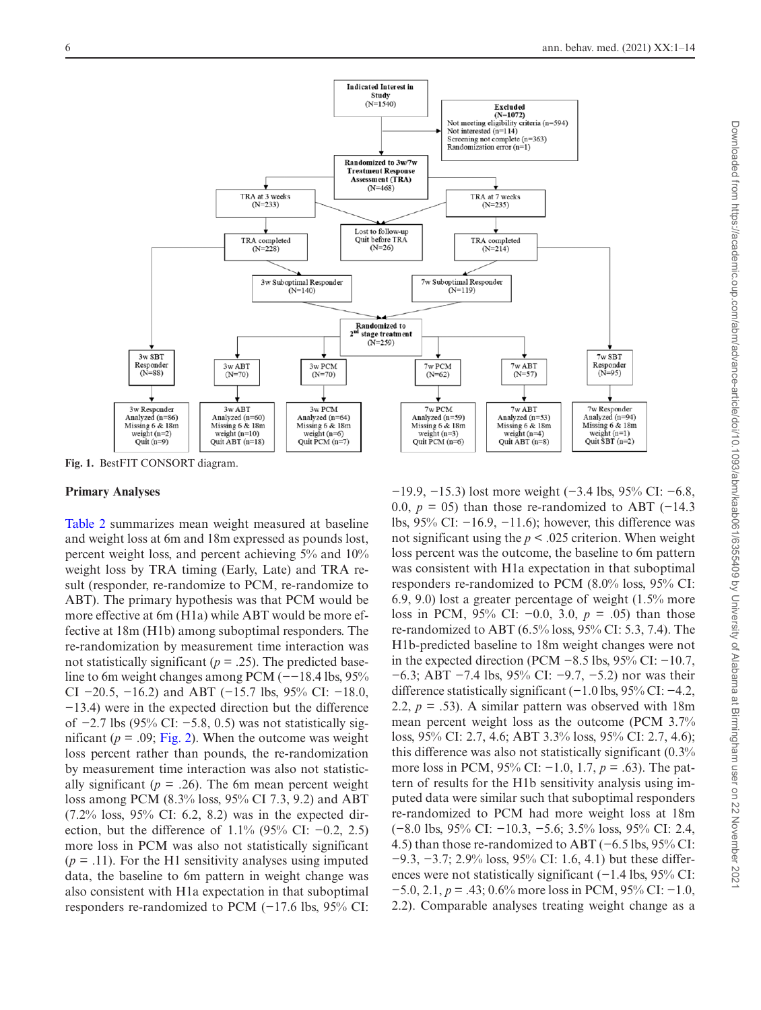

<span id="page-5-0"></span>**Fig. 1.** BestFIT CONSORT diagram.

#### **Primary Analyses**

[Table 2](#page-7-0) summarizes mean weight measured at baseline and weight loss at 6m and 18m expressed as pounds lost, percent weight loss, and percent achieving 5% and 10% weight loss by TRA timing (Early, Late) and TRA result (responder, re-randomize to PCM, re-randomize to ABT). The primary hypothesis was that PCM would be more effective at 6m (H1a) while ABT would be more effective at 18m (H1b) among suboptimal responders. The re-randomization by measurement time interaction was not statistically significant ( $p = .25$ ). The predicted baseline to 6m weight changes among PCM (−−18.4 lbs, 95% CI  $-20.5$ ,  $-16.2$ ) and ABT ( $-15.7$  lbs, 95% CI:  $-18.0$ , −13.4) were in the expected direction but the difference of −2.7 lbs (95% CI: −5.8, 0.5) was not statistically significant ( $p = .09$ ; [Fig. 2\)](#page-8-0). When the outcome was weight loss percent rather than pounds, the re-randomization by measurement time interaction was also not statistically significant ( $p = .26$ ). The 6m mean percent weight loss among PCM (8.3% loss, 95% CI 7.3, 9.2) and ABT (7.2% loss, 95% CI: 6.2, 8.2) was in the expected direction, but the difference of 1.1% (95% CI:  $-0.2$ , 2.5) more loss in PCM was also not statistically significant  $(p = .11)$ . For the H1 sensitivity analyses using imputed data, the baseline to 6m pattern in weight change was also consistent with H1a expectation in that suboptimal responders re-randomized to PCM (−17.6 lbs, 95% CI: −19.9, −15.3) lost more weight (−3.4 lbs, 95% CI: −6.8, 0.0,  $p = 05$ ) than those re-randomized to ABT (-14.3) lbs, 95% CI: −16.9, −11.6); however, this difference was not significant using the *p* < .025 criterion. When weight loss percent was the outcome, the baseline to 6m pattern was consistent with H1a expectation in that suboptimal responders re-randomized to PCM (8.0% loss, 95% CI: 6.9, 9.0) lost a greater percentage of weight (1.5% more loss in PCM, 95% CI: −0.0, 3.0, *p* = .05) than those re-randomized to ABT (6.5% loss, 95% CI: 5.3, 7.4). The H1b-predicted baseline to 18m weight changes were not in the expected direction (PCM  $-8.5$  lbs, 95% CI:  $-10.7$ , −6.3; ABT −7.4 lbs, 95% CI: −9.7, −5.2) nor was their difference statistically significant (−1.0 lbs, 95% CI: −4.2, 2.2,  $p = .53$ ). A similar pattern was observed with 18m mean percent weight loss as the outcome (PCM 3.7% loss, 95% CI: 2.7, 4.6; ABT 3.3% loss, 95% CI: 2.7, 4.6); this difference was also not statistically significant (0.3% more loss in PCM, 95% CI: −1.0, 1.7, *p* = .63). The pattern of results for the H1b sensitivity analysis using imputed data were similar such that suboptimal responders re-randomized to PCM had more weight loss at 18m (−8.0 lbs, 95% CI: −10.3, −5.6; 3.5% loss, 95% CI: 2.4, 4.5) than those re-randomized to ABT (−6.5 lbs, 95% CI: −9.3, −3.7; 2.9% loss, 95% CI: 1.6, 4.1) but these differences were not statistically significant (−1.4 lbs, 95% CI: −5.0, 2.1, *p* = .43; 0.6% more loss in PCM, 95% CI: −1.0, 2.2). Comparable analyses treating weight change as a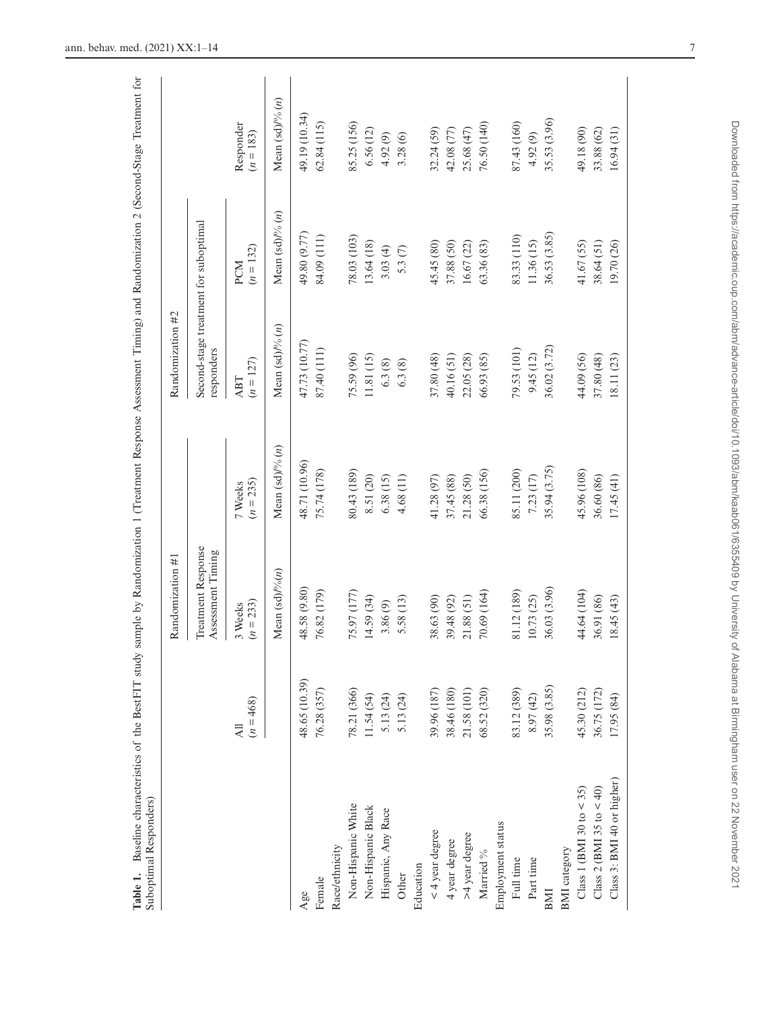<span id="page-6-0"></span>

| Suboptimal Responders)     |                        |                                                |                        |                                                     |                     |                             |
|----------------------------|------------------------|------------------------------------------------|------------------------|-----------------------------------------------------|---------------------|-----------------------------|
|                            |                        | Randomization #1                               |                        | Randomization #2                                    |                     |                             |
|                            |                        | Treatment Response<br>Assessment Timing        |                        | Second-stage treatment for suboptimal<br>responders |                     |                             |
|                            | $(n = 468)$<br>ㅋ       | $(n = 233)$<br>3 Weeks                         | $(n = 235)$<br>7 Weeks | $(n = 127)$<br>ABT                                  | $(n = 132)$<br>PCM  | Responder<br>$(n = 183)$    |
|                            |                        | Mean $\left(\text{sd}\right)\frac{\rho}{6(n)}$ | Mean $(sd)$ /% $(n)$   | Mean (sd) $\frac{N}{6}$ (n)                         | Mean $(sd)$ % $(n)$ | Mean (sd) $\frac{1}{2}$ (n) |
| Age                        | 48.65 (10.39)          | 48.58 (9.80)                                   | 48.71 (10.96)          | 47.73 (10.77)                                       | 49.80 (9.77)        | 49.19 (10.34)               |
| Female                     | 76.28 (357)            | 76.82 (179)                                    | 75.74 (178)            | 87.40 (111)                                         | 84.09 (111)         | 62.84(115)                  |
| Race/ethnicity             |                        |                                                |                        |                                                     |                     |                             |
| Non-Hispanic White         | 78.21 (366)            | 75.97 (177)                                    | 80.43 (189)            | 75.59 (96)                                          | 78.03 (103)         | 85.25 (156)                 |
| Non-Hispanic Black         | 11.54 (54)             | 14.59 (34)                                     | 8.51 (20)              | 11.81 (15)                                          | 13.64 (18)          | 6.56(12)                    |
| Hispanic, Any Race         |                        | 3.86(9)                                        | 6.38(15)               | 6.3(8)                                              | 3.03(4)             | 4.92(9)                     |
| Other                      | 5.13 (24)<br>5.13 (24) | 5.58 (13)                                      | 4.68 (11)              | 6.3(8)                                              | 5.3(7)              | 3.28(6)                     |
| Education                  |                        |                                                |                        |                                                     |                     |                             |
| $<$ 4 year degree          | 39.96 (187)            | 38.63 (90)                                     | 41.28 (97)             | 37.80 (48)                                          | 45.45 (80)          | 32.24 (59)                  |
| 4 year degree              | 38.46 (180)            | 39.48 (92)                                     | 37.45 (88)             | 40.16(51)                                           | 37.88 (50)          | 42.08 (77)                  |
| >4 year degree             | 21.58 (101)            | 21.88(51)                                      | 21.28 (50)             | 22.05 (28)                                          | 16.67 (22)          | 25.68 (47)                  |
| Married %                  | 68.52 (320)            | 70.69 (164)                                    | 66.38 (156)            | 66.93 (85)                                          | 63.36 (83)          | 76.50 (140)                 |
| Employment status          |                        |                                                |                        |                                                     |                     |                             |
| Full time                  | 83.12 (389)            | 81.12 (189)                                    | 85.11 (200)            | 79.53 (101)                                         | 83.33 (110)         | 87.43 (160)                 |
| Part time                  | 8.97 (42)              | 10.73 (25)                                     | 7.23 (17)              | 9.45(12)                                            | 11.36 (15)          | 4.92 (9)                    |
| BMI                        | 35.98 (3.85)           | 36.03 (3.96)                                   | 35.94 (3.75)           | 36.02 (3.72)                                        | 36.53 (3.85)        | 35.53 (3.96)                |
| <b>BMI</b> category        |                        |                                                |                        |                                                     |                     |                             |
| Class 1 (BMI 30 to $<$ 35) | 45.30 (212)            | 44.64 (104)                                    | 45.96 (108)            | 44.09 (56)                                          | 41.67(55)           | 49.18 (90)                  |
| Class 2 (BMI 35 to $<$ 40) | 36.75 (172)            | 36.91 (86)                                     | 36.60 (86)             | 37.80 (48)                                          | 38.64 (51)          | 33.88 (62)                  |
| Class 3: BMI 40 or higher) | 17.95 (84)             | 18.45(43)                                      | 17.45(41)              | 18.11 (23)                                          | 19.70 (26)          | 16.94(31)                   |
|                            |                        |                                                |                        |                                                     |                     |                             |

**Table 1.** Baseline characteristics of the BestFIT study sample by Randomization 1 (Treatment Response Assessment Timing) and Randomization 2 (Second-Stage Treatment for Table 1. Baseline characteristics of the BestFIT study sample by Randomization 1 (Treatment Response Assessment Timing) and Randomization 2 (Second-Stage Treatment for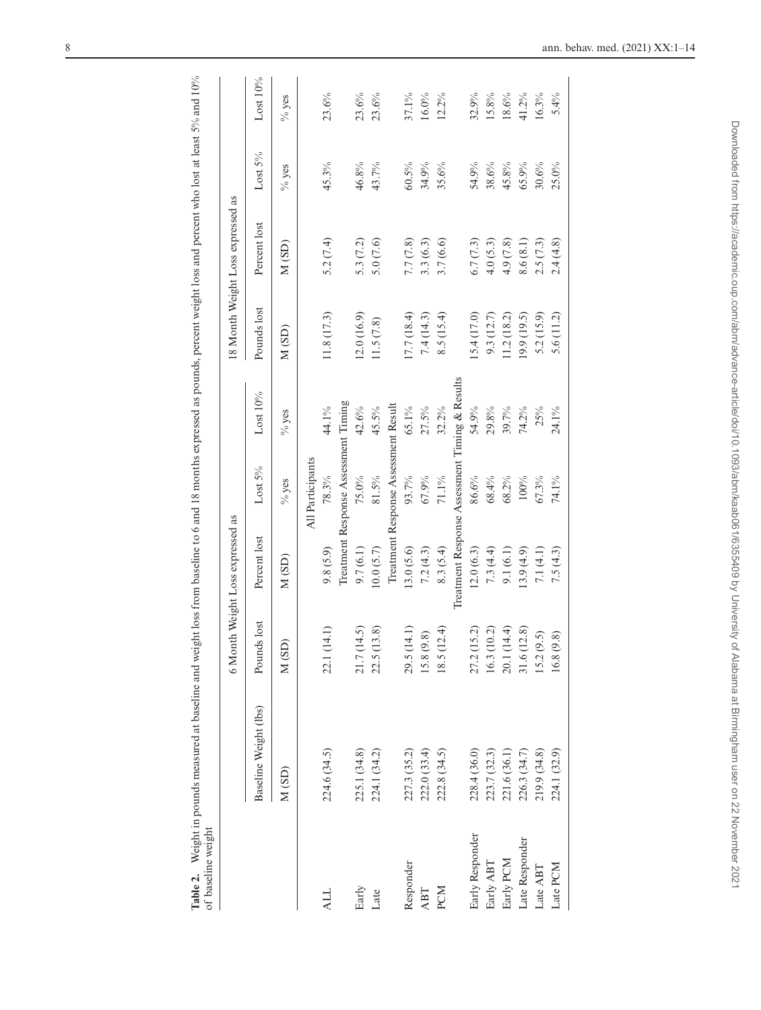| of baseline weight                 |                       |             |                                                |                                      |             |             |                                   |            |             |
|------------------------------------|-----------------------|-------------|------------------------------------------------|--------------------------------------|-------------|-------------|-----------------------------------|------------|-------------|
|                                    |                       |             | 6 Month Weight Loss expressed as               |                                      |             |             | 18 Month Weight Loss expressed as |            |             |
|                                    | Baseline Weight (lbs) | Pounds lost | Percent lost                                   | Lost 5%                              | Lost $10\%$ | Pounds lost | Percent lost                      | Lost $5\%$ | Lost $10\%$ |
|                                    | M(SD)                 | M(SD)       | M(SD)                                          | $\%$ yes                             | $%$ yes     | M (SD)      | M (SD)                            | $%$ yes    | $%$ yes     |
|                                    |                       |             |                                                | All Participants                     |             |             |                                   |            |             |
| <b>ALL</b>                         | 224.6 (34.5)          | 22.1 (14.1) | 9.8(5.9)                                       | 78.3%                                | 44.1%       | 11.8(17.3)  | 5.2 $(7.4)$                       | 45.3%      | 23.6%       |
|                                    |                       |             |                                                | Treatment Response Assessment Timing |             |             |                                   |            |             |
| Early                              | 225.1 (34.8)          | 21.7 (14.5) | 9.7(6.1)                                       | 75.0%                                | 42.6%       | (2.0(16.9)) | 5.3 $(7.2)$                       | 46.8%      | 23.6%       |
| Late                               | 224.1 (34.2)          | 22.5 (13.8) | (0.0 (5.7))                                    | $81.5\%$                             | 45.5%       | 11.5(7.8)   | 5.0(7.6)                          | 43.7%      | 23.6%       |
|                                    |                       |             |                                                | Treatment Response Assessment Result |             |             |                                   |            |             |
| Responder                          | 227.3 (35.2)          | 29.5 (14.1) | 13.0(5.6)                                      | 93.7%                                | 65.1%       | 17.7(18.4)  | 7.7 (7.8)                         | 60.5%      | 37.1%       |
| ABT                                | 222.0 (33.4)          | 15.8(9.8)   | 7.2(4.3)                                       | 67.9%                                | 27.5%       | 7.4(14.3)   | 3.3(6.3)                          | 34.9%      | $16.0\%$    |
| PCM                                | 222.8 (34.5)          | 18.5(12.4)  | 8.3(5.4)                                       | $71.1\%$                             | 32.2%       | 8.5(15.4)   | 3.7(6.6)                          | 35.6%      | 12.2%       |
|                                    |                       |             | Treatment Response Assessment Timing & Results |                                      |             |             |                                   |            |             |
| Early Responder                    | 228.4 (36.0)          | 27.2 (15.2) | (2.0(6.3))                                     | 86.6%                                | $54.9\%$    | 5.4 (17.0)  | 6.7(7.3)                          | 54.9%      | 32.9%       |
| Early ABT                          | 223.7 (32.3)          | 16.3(10.2)  | 7.3(4.4)                                       | 68.4%                                | $29.8\%$    | 9.3(12.7)   | 4.0(5.3)                          | 38.6%      | 15.8%       |
| Early PCM                          | 221.6 (36.1)          | 20.1 (14.4) | 9.1(6.1)                                       | 68.2%                                | 39.7%       | (1.2(18.2)  | 4.9(7.8)                          | 45.8%      | 18.6%       |
| Late Responder                     | 226.3 (34.7)          | 31.6 (12.8) | (3.9(4.9))                                     | 100%                                 | 74.2%       | 19.9(19.5)  | 8.6(8.1)                          | 65.9%      | 41.2%       |
| $\text{Late } \triangle \text{BT}$ | 219.9 (34.8)          | 15.2(9.5)   | 7.1(4.1)                                       | 67.3%                                | 25%         | 5.2 (15.9)  | 2.5(7.3)                          | 30.6%      | 16.3%       |
| Late PCM                           | 224.1 (32.9)          | 16.8(9.8)   | 7.5(4.3)                                       | 74.1%                                | 24.1%       | 5.6(11.2)   | 2.4(4.8)                          | 25.0%      | 5.4%        |
|                                    |                       |             |                                                |                                      |             |             |                                   |            |             |

<span id="page-7-0"></span>Table 2. Weight in pounds measured at baseline and weight loss from baseline to 6 and 18 months expressed as pounds, percent weight loss and percent who lost at least 5% and 10% **Table 2.** Weight in pounds measured at baseline and weight loss from baseline to 6 and 18 months expressed as pounds, percent weight loss and percent who lost at least 5% and 10%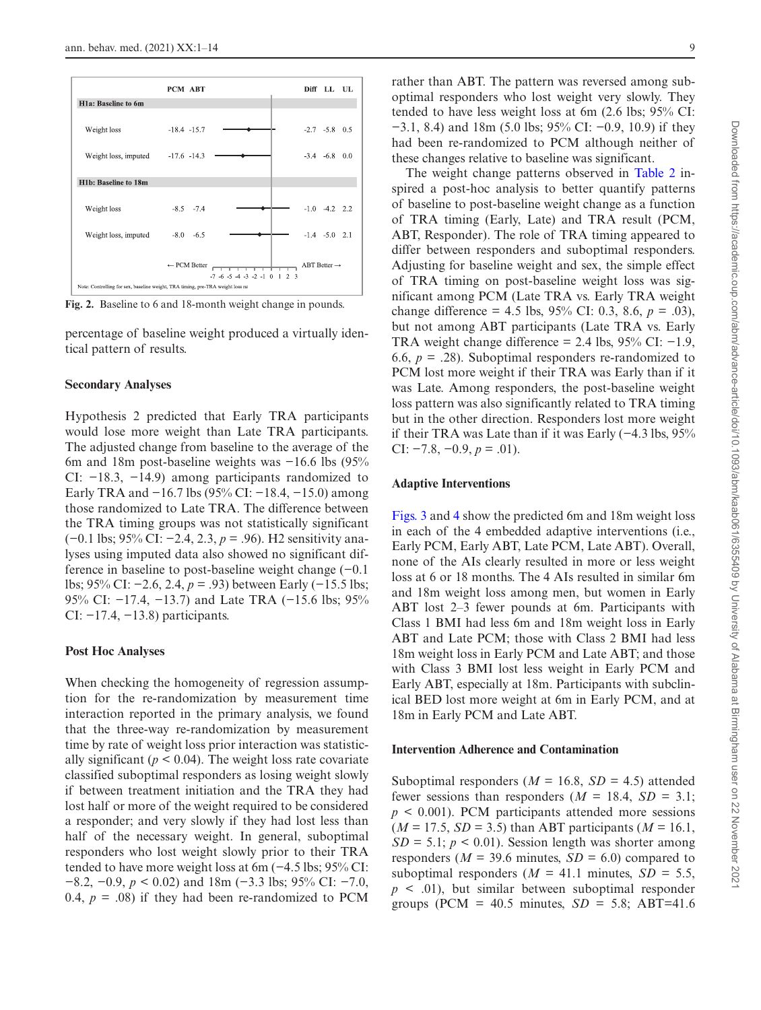Weight loss, imputed  $-8.0$  $-6.5$ ABT Better  $\rightarrow$ - PCM Better  $-7$  -6 -5 -4 -3 -2 -1 0 1 2 Note: Controlling for sex, baseline weight, TRA timing, pre-TRA weight loss ra

<span id="page-8-0"></span>**Fig. 2.** Baseline to 6 and 18-month weight change in pounds.

percentage of baseline weight produced a virtually identical pattern of results.

## **Secondary Analyses**

Hypothesis 2 predicted that Early TRA participants would lose more weight than Late TRA participants. The adjusted change from baseline to the average of the 6m and 18m post-baseline weights was −16.6 lbs (95% CI: −18.3, −14.9) among participants randomized to Early TRA and −16.7 lbs (95% CI: −18.4, −15.0) among those randomized to Late TRA. The difference between the TRA timing groups was not statistically significant (−0.1 lbs; 95% CI: −2.4, 2.3, *p* = .96). H2 sensitivity analyses using imputed data also showed no significant difference in baseline to post-baseline weight change (−0.1 lbs; 95% CI: −2.6, 2.4, *p* = .93) between Early (−15.5 lbs; 95% CI: −17.4, −13.7) and Late TRA (−15.6 lbs; 95% CI:  $-17.4$ ,  $-13.8$ ) participants.

#### **Post Hoc Analyses**

When checking the homogeneity of regression assumption for the re-randomization by measurement time interaction reported in the primary analysis, we found that the three-way re-randomization by measurement time by rate of weight loss prior interaction was statistically significant ( $p < 0.04$ ). The weight loss rate covariate classified suboptimal responders as losing weight slowly if between treatment initiation and the TRA they had lost half or more of the weight required to be considered a responder; and very slowly if they had lost less than half of the necessary weight. In general, suboptimal responders who lost weight slowly prior to their TRA tended to have more weight loss at 6m (−4.5 lbs; 95% CI: −8.2, −0.9, *p* < 0.02) and 18m (−3.3 lbs; 95% CI: −7.0, 0.4,  $p = .08$ ) if they had been re-randomized to PCM

rather than ABT. The pattern was reversed among suboptimal responders who lost weight very slowly. They tended to have less weight loss at 6m (2.6 lbs; 95% CI: −3.1, 8.4) and 18m (5.0 lbs; 95% CI: −0.9, 10.9) if they had been re-randomized to PCM although neither of these changes relative to baseline was significant.

The weight change patterns observed in [Table 2](#page-7-0) inspired a post-hoc analysis to better quantify patterns of baseline to post-baseline weight change as a function of TRA timing (Early, Late) and TRA result (PCM, ABT, Responder). The role of TRA timing appeared to differ between responders and suboptimal responders. Adjusting for baseline weight and sex, the simple effect of TRA timing on post-baseline weight loss was significant among PCM (Late TRA vs. Early TRA weight change difference = 4.5 lbs, 95% CI: 0.3, 8.6, *p* = .03), but not among ABT participants (Late TRA vs. Early TRA weight change difference = 2.4 lbs,  $95\%$  CI:  $-1.9$ , 6.6,  $p = .28$ ). Suboptimal responders re-randomized to PCM lost more weight if their TRA was Early than if it was Late. Among responders, the post-baseline weight loss pattern was also significantly related to TRA timing but in the other direction. Responders lost more weight if their TRA was Late than if it was Early (−4.3 lbs, 95% CI:  $-7.8, -0.9, p = .01$ ).

#### **Adaptive Interventions**

[Figs. 3](#page-9-0) and [4](#page-10-0) show the predicted 6m and 18m weight loss in each of the 4 embedded adaptive interventions (i.e., Early PCM, Early ABT, Late PCM, Late ABT). Overall, none of the AIs clearly resulted in more or less weight loss at 6 or 18 months. The 4 AIs resulted in similar 6m and 18m weight loss among men, but women in Early ABT lost 2–3 fewer pounds at 6m. Participants with Class 1 BMI had less 6m and 18m weight loss in Early ABT and Late PCM; those with Class 2 BMI had less 18m weight loss in Early PCM and Late ABT; and those with Class 3 BMI lost less weight in Early PCM and Early ABT, especially at 18m. Participants with subclinical BED lost more weight at 6m in Early PCM, and at 18m in Early PCM and Late ABT.

#### **Intervention Adherence and Contamination**

Suboptimal responders ( $M = 16.8$ ,  $SD = 4.5$ ) attended fewer sessions than responders ( $M = 18.4$ ,  $SD = 3.1$ ;  $p \leq 0.001$ ). PCM participants attended more sessions (*M* = 17.5, *SD* = 3.5) than ABT participants (*M* = 16.1,  $SD = 5.1$ ;  $p < 0.01$ ). Session length was shorter among responders ( $M = 39.6$  minutes,  $SD = 6.0$ ) compared to suboptimal responders ( $M = 41.1$  minutes,  $SD = 5.5$ ,  $p \leq 0.01$ , but similar between suboptimal responder groups (PCM =  $40.5$  minutes,  $SD = 5.8$ ; ABT=41.6



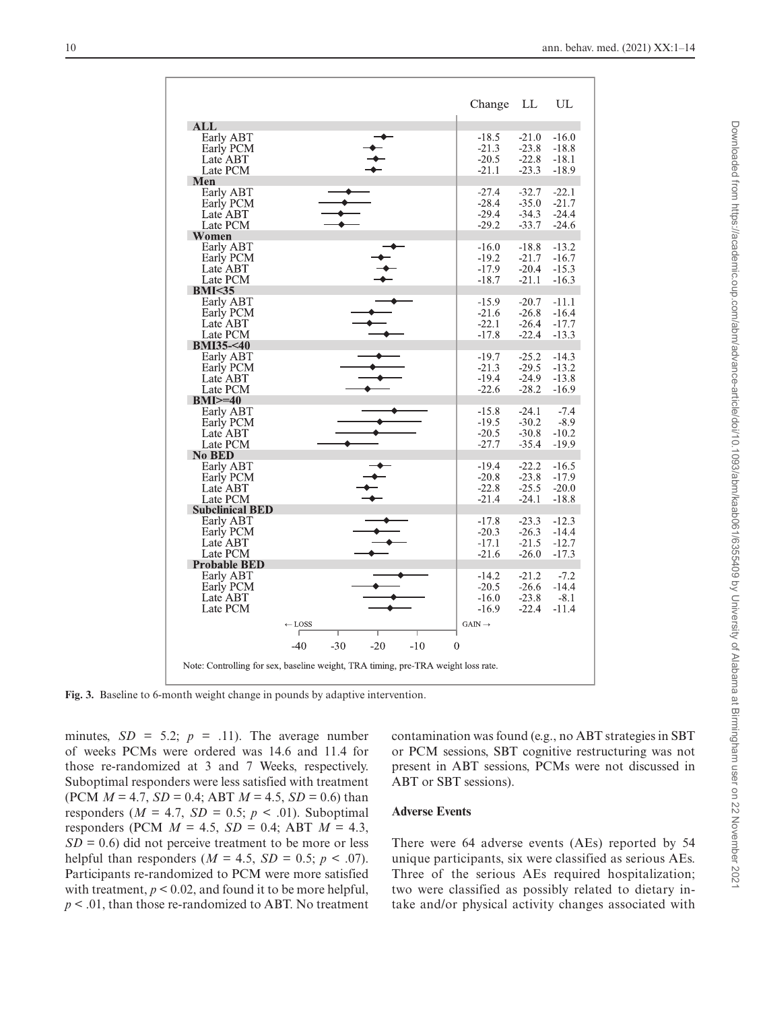|                        |                                                                                   | Change            | LL      | UL      |
|------------------------|-----------------------------------------------------------------------------------|-------------------|---------|---------|
| ALL                    |                                                                                   |                   |         |         |
| Early ABT              |                                                                                   | $-18.5$           | $-21.0$ | $-16.0$ |
| Early PCM              |                                                                                   | $-21.3$           | $-23.8$ | $-18.8$ |
|                        |                                                                                   |                   |         |         |
| Late ABT               |                                                                                   | $-20.5$           | $-22.8$ | $-18.1$ |
| Late PCM               |                                                                                   | $-21.1$           | $-23.3$ | $-18.9$ |
| Men                    |                                                                                   |                   |         |         |
| Early ABT              |                                                                                   | $-27.4$           | $-32.7$ | $-22.1$ |
| Early PCM              |                                                                                   | $-28.4$           | $-35.0$ | $-21.7$ |
| Late ABT               |                                                                                   | $-29.4$           | $-34.3$ | $-24.4$ |
| Late PCM               |                                                                                   | $-29.2$           | $-33.7$ | $-24.6$ |
| <b>Women</b>           |                                                                                   |                   |         |         |
| Early ABT              |                                                                                   | $-16.0$           | $-18.8$ | $-13.2$ |
| Early PCM              |                                                                                   | $-19.2$           | $-21.7$ | $-16.7$ |
| Late ABT               |                                                                                   | $-17.9$           | $-20.4$ | $-15.3$ |
| Late PCM               |                                                                                   |                   |         |         |
|                        |                                                                                   | $-18.7$           | $-21.1$ | $-16.3$ |
| BMI < 35               |                                                                                   |                   |         |         |
| Early ABT              |                                                                                   | $-15.9$           | $-20.7$ | $-11.1$ |
| Early PCM              |                                                                                   | $-21.6$           | $-26.8$ | $-16.4$ |
| Late ABT               |                                                                                   | $-22.1$           | $-26.4$ | $-17.7$ |
| Late PCM               |                                                                                   | $-17.8$           | $-22.4$ | $-13.3$ |
| <b>BMI35-&lt;40</b>    |                                                                                   |                   |         |         |
| Early ABT              |                                                                                   | $-19.7$           | $-25.2$ | $-14.3$ |
| Early PCM              |                                                                                   | $-21.3$           | $-29.5$ | $-13.2$ |
| Late ABT               |                                                                                   | $-19.4$           | $-24.9$ | $-13.8$ |
|                        |                                                                                   |                   |         |         |
| Late PCM               |                                                                                   | $-22.6$           | $-28.2$ | $-16.9$ |
| $BMI>=40$              |                                                                                   |                   |         |         |
| Early ABT              |                                                                                   | $-15.8$           | $-24.1$ | $-7.4$  |
| Early PCM              |                                                                                   | $-19.5$           | $-30.2$ | $-8.9$  |
| Late ABT               |                                                                                   | $-20.5$           | $-30.8$ | $-10.2$ |
| Late PCM               |                                                                                   | $-27.7$           | $-35.4$ | $-19.9$ |
| No BED                 |                                                                                   |                   |         |         |
| Early ABT              |                                                                                   | $-19.4$           | $-22.2$ | $-16.5$ |
| Early PCM              |                                                                                   | $-20.8$           | $-23.8$ | $-17.9$ |
| Late ABT               |                                                                                   | $-22.8$           | $-25.5$ | $-20.0$ |
|                        |                                                                                   | $-21.4$           |         |         |
| Late PCM               |                                                                                   |                   | $-24.1$ | $-18.8$ |
| <b>Subclinical BED</b> |                                                                                   |                   |         |         |
| Early ABT              |                                                                                   | $-17.8$           | $-23.3$ | $-12.3$ |
| Early PCM              |                                                                                   | $-20.3$           | $-26.3$ | $-14.4$ |
| Late ABT               |                                                                                   | $-17.1$           | $-21.5$ | $-12.7$ |
| Late PCM               |                                                                                   | $-21.6$           | $-26.0$ | $-17.3$ |
| <b>Probable BED</b>    |                                                                                   |                   |         |         |
| Early ABT              |                                                                                   | $-14.2$           | $-21.2$ | $-7.2$  |
| Early PCM              |                                                                                   | $-20.5$           | $-26.6$ | $-14.4$ |
| Late ABT               |                                                                                   | $-16.0$           | $-23.8$ | $-8.1$  |
| Late PCM               |                                                                                   | $-16.9$           | $-22.4$ | $-11.4$ |
|                        |                                                                                   |                   |         |         |
|                        | $\leftarrow$ LOSS                                                                 | $GAN \rightarrow$ |         |         |
|                        |                                                                                   |                   |         |         |
|                        | $-30$<br>$-40$<br>$-20$<br>$-10$                                                  | $\mathbf{0}$      |         |         |
|                        |                                                                                   |                   |         |         |
|                        | Note: Controlling for sex, baseline weight, TRA timing, pre-TRA weight loss rate. |                   |         |         |
|                        |                                                                                   |                   |         |         |

**Fig. 3.** Baseline to 6-month weight change in pounds by adaptive intervention.

minutes,  $SD = 5.2$ ;  $p = .11$ ). The average number of weeks PCMs were ordered was 14.6 and 11.4 for those re-randomized at 3 and 7 Weeks, respectively. Suboptimal responders were less satisfied with treatment (PCM  $M = 4.7$ ,  $SD = 0.4$ ; ABT  $M = 4.5$ ,  $SD = 0.6$ ) than responders ( $M = 4.7$ ,  $SD = 0.5$ ;  $p < .01$ ). Suboptimal responders (PCM  $M = 4.5$ ,  $SD = 0.4$ ; ABT  $M = 4.3$ ,  $SD = 0.6$ ) did not perceive treatment to be more or less helpful than responders ( $M = 4.5$ ,  $SD = 0.5$ ;  $p < .07$ ). Participants re-randomized to PCM were more satisfied with treatment,  $p < 0.02$ , and found it to be more helpful, *p* < .01, than those re-randomized to ABT. No treatment

<span id="page-9-0"></span>contamination was found (e.g., no ABT strategies in SBT or PCM sessions, SBT cognitive restructuring was not present in ABT sessions, PCMs were not discussed in ABT or SBT sessions).

# **Adverse Events**

There were 64 adverse events (AEs) reported by 54 unique participants, six were classified as serious AEs. Three of the serious AEs required hospitalization; two were classified as possibly related to dietary intake and/or physical activity changes associated with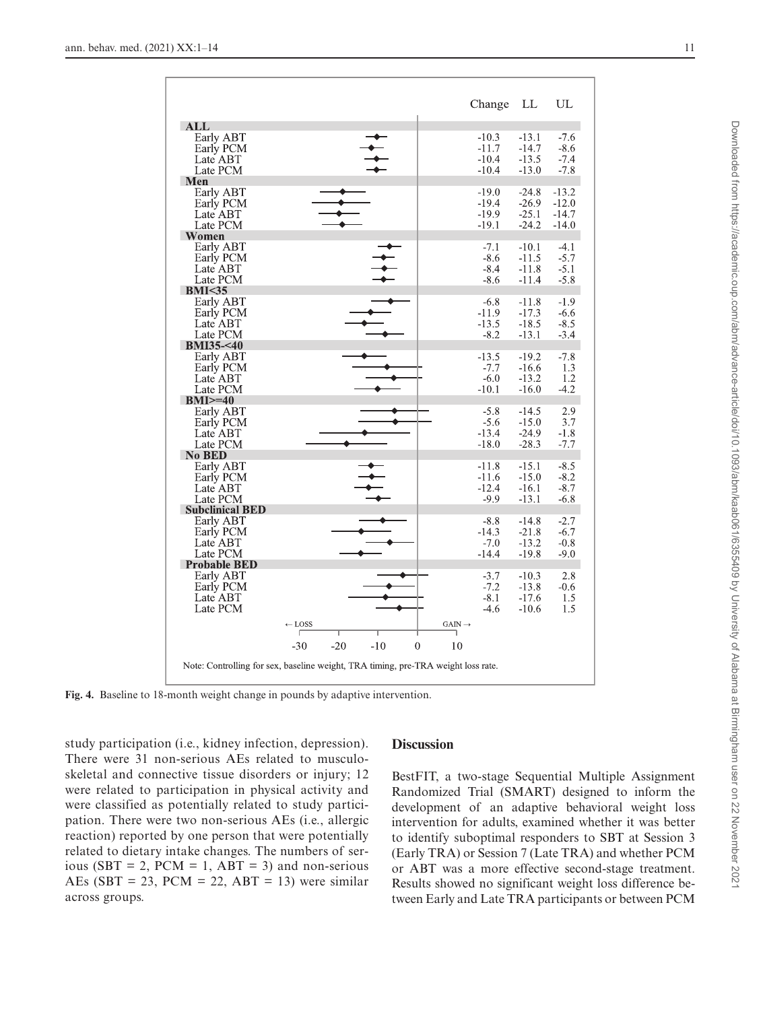|                                                                                   |                   |       |       |              |                    | Change  | LL      | UL      |
|-----------------------------------------------------------------------------------|-------------------|-------|-------|--------------|--------------------|---------|---------|---------|
| ALL                                                                               |                   |       |       |              |                    |         |         |         |
| Early ABT                                                                         |                   |       |       |              |                    | $-10.3$ | $-13.1$ | $-7.6$  |
| Early PCM                                                                         |                   |       |       |              |                    | $-11.7$ | $-14.7$ | $-8.6$  |
| Late ABT                                                                          |                   |       |       |              |                    | $-10.4$ | $-13.5$ | $-7.4$  |
| Late PCM                                                                          |                   |       |       |              |                    | $-10.4$ | $-13.0$ | $-7.8$  |
| Men                                                                               |                   |       |       |              |                    |         |         |         |
| Early ABT                                                                         |                   |       |       |              |                    | $-19.0$ | $-24.8$ | $-13.2$ |
| Early PCM                                                                         |                   |       |       |              |                    | $-19.4$ | $-26.9$ | $-12.0$ |
| Late ABT                                                                          |                   |       |       |              |                    | $-19.9$ | $-25.1$ | $-14.7$ |
| Late PCM                                                                          |                   |       |       |              |                    | $-19.1$ | $-24.2$ | $-14.0$ |
| Women                                                                             |                   |       |       |              |                    |         |         |         |
|                                                                                   |                   |       |       |              |                    | $-7.1$  |         |         |
| Early ABT                                                                         |                   |       |       |              |                    |         | $-10.1$ | $-4.1$  |
| Early PCM                                                                         |                   |       |       |              |                    | $-8.6$  | $-11.5$ | $-5.7$  |
| Late ABT                                                                          |                   |       |       |              |                    | $-8.4$  | $-11.8$ | $-5.1$  |
| Late PCM                                                                          |                   |       |       |              |                    | $-8.6$  | $-11.4$ | $-5.8$  |
| BMI < 35                                                                          |                   |       |       |              |                    |         |         |         |
| Early ABT                                                                         |                   |       |       |              |                    | $-6.8$  | $-11.8$ | $-1.9$  |
| Early PCM                                                                         |                   |       |       |              |                    | $-11.9$ | $-17.3$ | $-6.6$  |
| Late ABT                                                                          |                   |       |       |              |                    | $-13.5$ | $-18.5$ | $-8.5$  |
| Late PCM                                                                          |                   |       |       |              |                    | $-8.2$  | $-13.1$ | $-3.4$  |
| <b>BMI35-&lt;40</b>                                                               |                   |       |       |              |                    |         |         |         |
| Early ABT                                                                         |                   |       |       |              |                    | $-13.5$ | $-19.2$ | $-7.8$  |
| Early PCM                                                                         |                   |       |       |              |                    | $-7.7$  | $-16.6$ | 1.3     |
| Late ABT                                                                          |                   |       |       |              |                    | $-6.0$  | $-13.2$ | 1.2     |
| Late PCM                                                                          |                   |       |       |              |                    | $-10.1$ | $-16.0$ | $-4.2$  |
| $BMI>=40$                                                                         |                   |       |       |              |                    |         |         |         |
| Early ABT                                                                         |                   |       |       |              |                    | $-5.8$  | $-14.5$ | 2.9     |
| Early PCM                                                                         |                   |       |       |              |                    | $-5.6$  | $-15.0$ | 3.7     |
| Late ABT                                                                          |                   |       |       |              |                    | $-13.4$ | $-24.9$ | $-1.8$  |
| Late PCM                                                                          |                   |       |       |              |                    | $-18.0$ | $-28.3$ | $-7.7$  |
| <b>No BED</b>                                                                     |                   |       |       |              |                    |         |         |         |
| Early ABT                                                                         |                   |       |       |              |                    | $-11.8$ | $-15.1$ | $-8.5$  |
| Early PCM                                                                         |                   |       |       |              |                    | $-11.6$ | $-15.0$ | $-8.2$  |
| Late ABT                                                                          |                   |       |       |              |                    | $-12.4$ | $-16.1$ | $-8.7$  |
| Late PCM                                                                          |                   |       |       |              |                    | $-9.9$  | $-13.1$ | $-6.8$  |
| <b>Subclinical BED</b>                                                            |                   |       |       |              |                    |         |         |         |
| Early ABT                                                                         |                   |       |       |              |                    | $-8.8$  | $-14.8$ | $-2.7$  |
| Early PCM                                                                         |                   |       |       |              |                    | $-14.3$ | $-21.8$ | $-6.7$  |
| Late ABT                                                                          |                   |       |       |              |                    | $-7.0$  | $-13.2$ | $-0.8$  |
| Late PCM                                                                          |                   |       |       |              |                    | $-14.4$ | $-19.8$ | $-9.0$  |
| <b>Probable BED</b>                                                               |                   |       |       |              |                    |         |         |         |
| Early ABT                                                                         |                   |       |       |              |                    | $-3.7$  | $-10.3$ | 2.8     |
| Early PCM                                                                         |                   |       |       |              |                    | $-7.2$  | $-13.8$ | $-0.6$  |
| Late ABT                                                                          |                   |       |       |              |                    | $-8.1$  | $-17.6$ | 1.5     |
| Late PCM                                                                          |                   |       |       |              |                    | $-4.6$  | $-10.6$ | 1.5     |
|                                                                                   |                   |       |       |              |                    |         |         |         |
|                                                                                   | $\leftarrow$ LOSS |       |       |              | $GAIN \rightarrow$ |         |         |         |
|                                                                                   | ٢                 |       |       |              | ٦                  |         |         |         |
|                                                                                   | $-30$             | $-20$ | $-10$ | $\mathbf{0}$ | 10                 |         |         |         |
|                                                                                   |                   |       |       |              |                    |         |         |         |
| Note: Controlling for sex, baseline weight, TRA timing, pre-TRA weight loss rate. |                   |       |       |              |                    |         |         |         |

**Fig. 4.** Baseline to 18-month weight change in pounds by adaptive intervention.

study participation (i.e., kidney infection, depression). There were 31 non-serious AEs related to musculoskeletal and connective tissue disorders or injury; 12 were related to participation in physical activity and were classified as potentially related to study participation. There were two non-serious AEs (i.e., allergic reaction) reported by one person that were potentially related to dietary intake changes. The numbers of serious (SBT = 2, PCM = 1, ABT = 3) and non-serious AEs (SBT = 23, PCM = 22, ABT = 13) were similar across groups.

# <span id="page-10-0"></span>**Discussion**

BestFIT, a two-stage Sequential Multiple Assignment Randomized Trial (SMART) designed to inform the development of an adaptive behavioral weight loss intervention for adults, examined whether it was better to identify suboptimal responders to SBT at Session 3 (Early TRA) or Session 7 (Late TRA) and whether PCM or ABT was a more effective second-stage treatment. Results showed no significant weight loss difference between Early and Late TRA participants or between PCM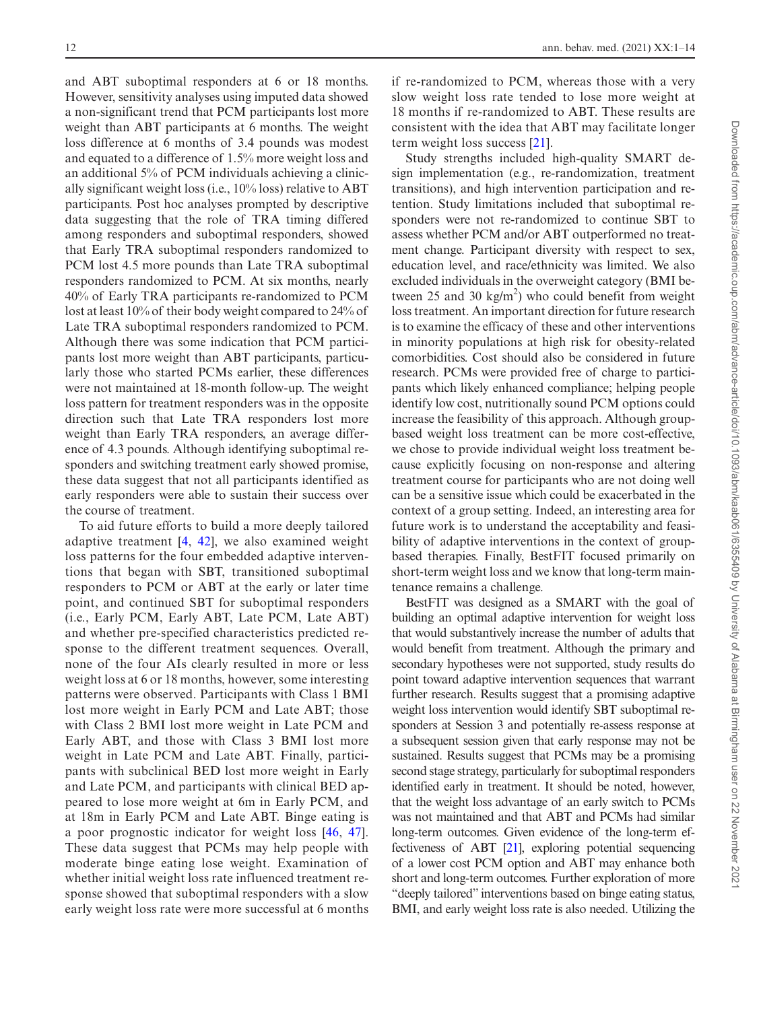and ABT suboptimal responders at 6 or 18 months. However, sensitivity analyses using imputed data showed a non-significant trend that PCM participants lost more weight than ABT participants at 6 months. The weight loss difference at 6 months of 3.4 pounds was modest and equated to a difference of 1.5% more weight loss and an additional 5% of PCM individuals achieving a clinically significant weight loss (i.e., 10% loss) relative to ABT participants. Post hoc analyses prompted by descriptive data suggesting that the role of TRA timing differed among responders and suboptimal responders, showed that Early TRA suboptimal responders randomized to PCM lost 4.5 more pounds than Late TRA suboptimal responders randomized to PCM. At six months, nearly 40% of Early TRA participants re-randomized to PCM lost at least 10% of their body weight compared to 24% of Late TRA suboptimal responders randomized to PCM. Although there was some indication that PCM participants lost more weight than ABT participants, particularly those who started PCMs earlier, these differences were not maintained at 18-month follow-up. The weight loss pattern for treatment responders was in the opposite direction such that Late TRA responders lost more weight than Early TRA responders, an average difference of 4.3 pounds. Although identifying suboptimal responders and switching treatment early showed promise, these data suggest that not all participants identified as early responders were able to sustain their success over the course of treatment.

To aid future efforts to build a more deeply tailored adaptive treatment [\[4](#page-12-3), [42](#page-13-20)], we also examined weight loss patterns for the four embedded adaptive interventions that began with SBT, transitioned suboptimal responders to PCM or ABT at the early or later time point, and continued SBT for suboptimal responders (i.e., Early PCM, Early ABT, Late PCM, Late ABT) and whether pre-specified characteristics predicted response to the different treatment sequences. Overall, none of the four AIs clearly resulted in more or less weight loss at 6 or 18 months, however, some interesting patterns were observed. Participants with Class 1 BMI lost more weight in Early PCM and Late ABT; those with Class 2 BMI lost more weight in Late PCM and Early ABT, and those with Class 3 BMI lost more weight in Late PCM and Late ABT. Finally, participants with subclinical BED lost more weight in Early and Late PCM, and participants with clinical BED appeared to lose more weight at 6m in Early PCM, and at 18m in Early PCM and Late ABT. Binge eating is a poor prognostic indicator for weight loss [[46](#page-13-23), [47](#page-13-24)]. These data suggest that PCMs may help people with moderate binge eating lose weight. Examination of whether initial weight loss rate influenced treatment response showed that suboptimal responders with a slow early weight loss rate were more successful at 6 months

if re-randomized to PCM, whereas those with a very slow weight loss rate tended to lose more weight at 18 months if re-randomized to ABT. These results are consistent with the idea that ABT may facilitate longer term weight loss success [\[21\]](#page-13-3).

Study strengths included high-quality SMART design implementation (e.g., re-randomization, treatment transitions), and high intervention participation and retention. Study limitations included that suboptimal responders were not re-randomized to continue SBT to assess whether PCM and/or ABT outperformed no treatment change. Participant diversity with respect to sex, education level, and race/ethnicity was limited. We also excluded individuals in the overweight category (BMI between 25 and 30 kg/m<sup>2</sup>) who could benefit from weight loss treatment. An important direction for future research is to examine the efficacy of these and other interventions in minority populations at high risk for obesity-related comorbidities. Cost should also be considered in future research. PCMs were provided free of charge to participants which likely enhanced compliance; helping people identify low cost, nutritionally sound PCM options could increase the feasibility of this approach. Although groupbased weight loss treatment can be more cost-effective, we chose to provide individual weight loss treatment because explicitly focusing on non-response and altering treatment course for participants who are not doing well can be a sensitive issue which could be exacerbated in the context of a group setting. Indeed, an interesting area for future work is to understand the acceptability and feasibility of adaptive interventions in the context of groupbased therapies. Finally, BestFIT focused primarily on short-term weight loss and we know that long-term maintenance remains a challenge.

BestFIT was designed as a SMART with the goal of building an optimal adaptive intervention for weight loss that would substantively increase the number of adults that would benefit from treatment. Although the primary and secondary hypotheses were not supported, study results do point toward adaptive intervention sequences that warrant further research. Results suggest that a promising adaptive weight loss intervention would identify SBT suboptimal responders at Session 3 and potentially re-assess response at a subsequent session given that early response may not be sustained. Results suggest that PCMs may be a promising second stage strategy, particularly for suboptimal responders identified early in treatment. It should be noted, however, that the weight loss advantage of an early switch to PCMs was not maintained and that ABT and PCMs had similar long-term outcomes. Given evidence of the long-term effectiveness of ABT [\[21\]](#page-13-3), exploring potential sequencing of a lower cost PCM option and ABT may enhance both short and long-term outcomes. Further exploration of more "deeply tailored" interventions based on binge eating status, BMI, and early weight loss rate is also needed. Utilizing the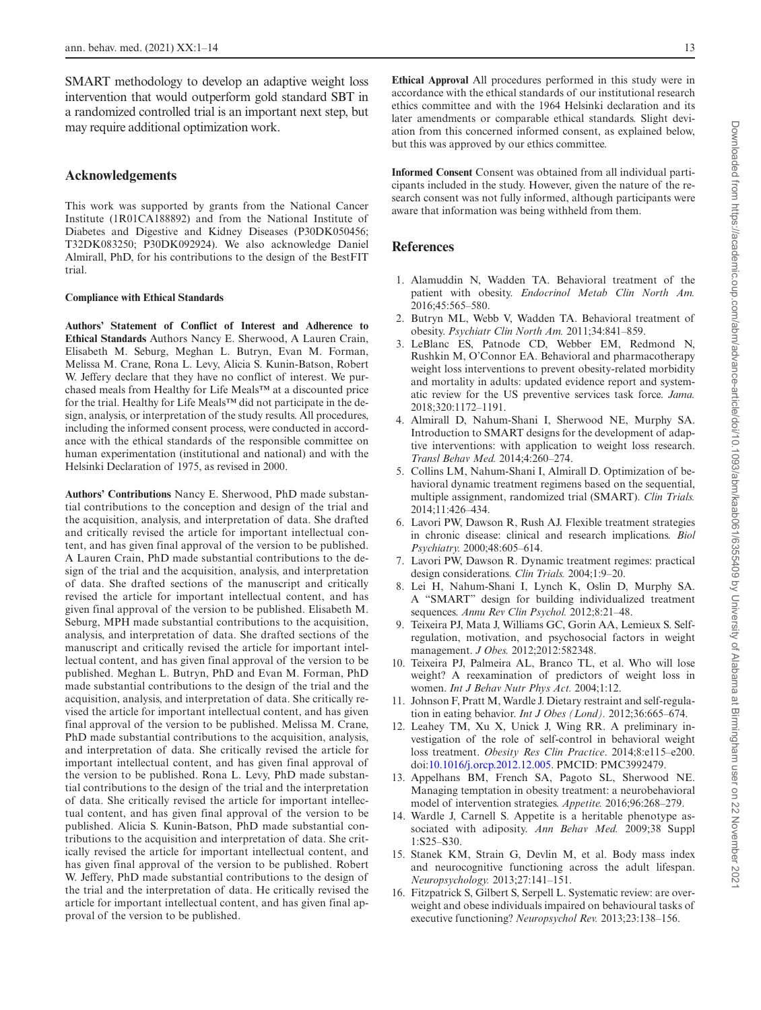SMART methodology to develop an adaptive weight loss intervention that would outperform gold standard SBT in a randomized controlled trial is an important next step, but may require additional optimization work.

## **Acknowledgements**

This work was supported by grants from the National Cancer Institute (1R01CA188892) and from the National Institute of Diabetes and Digestive and Kidney Diseases (P30DK050456; T32DK083250; P30DK092924). We also acknowledge Daniel Almirall, PhD, for his contributions to the design of the BestFIT trial.

#### **Compliance with Ethical Standards**

**Authors' Statement of Conflict of Interest and Adherence to Ethical Standards** Authors Nancy E. Sherwood, A Lauren Crain, Elisabeth M. Seburg, Meghan L. Butryn, Evan M. Forman, Melissa M. Crane, Rona L. Levy, Alicia S. Kunin-Batson, Robert W. Jeffery declare that they have no conflict of interest. We purchased meals from Healthy for Life Meals™ at a discounted price for the trial. Healthy for Life Meals™ did not participate in the design, analysis, or interpretation of the study results. All procedures, including the informed consent process, were conducted in accordance with the ethical standards of the responsible committee on human experimentation (institutional and national) and with the Helsinki Declaration of 1975, as revised in 2000.

**Authors' Contributions** Nancy E. Sherwood, PhD made substantial contributions to the conception and design of the trial and the acquisition, analysis, and interpretation of data. She drafted and critically revised the article for important intellectual content, and has given final approval of the version to be published. A Lauren Crain, PhD made substantial contributions to the design of the trial and the acquisition, analysis, and interpretation of data. She drafted sections of the manuscript and critically revised the article for important intellectual content, and has given final approval of the version to be published. Elisabeth M. Seburg, MPH made substantial contributions to the acquisition, analysis, and interpretation of data. She drafted sections of the manuscript and critically revised the article for important intellectual content, and has given final approval of the version to be published. Meghan L. Butryn, PhD and Evan M. Forman, PhD made substantial contributions to the design of the trial and the acquisition, analysis, and interpretation of data. She critically revised the article for important intellectual content, and has given final approval of the version to be published. Melissa M. Crane, PhD made substantial contributions to the acquisition, analysis, and interpretation of data. She critically revised the article for important intellectual content, and has given final approval of the version to be published. Rona L. Levy, PhD made substantial contributions to the design of the trial and the interpretation of data. She critically revised the article for important intellectual content, and has given final approval of the version to be published. Alicia S. Kunin-Batson, PhD made substantial contributions to the acquisition and interpretation of data. She critically revised the article for important intellectual content, and has given final approval of the version to be published. Robert W. Jeffery, PhD made substantial contributions to the design of the trial and the interpretation of data. He critically revised the article for important intellectual content, and has given final approval of the version to be published.

**Ethical Approval** All procedures performed in this study were in accordance with the ethical standards of our institutional research ethics committee and with the 1964 Helsinki declaration and its later amendments or comparable ethical standards. Slight deviation from this concerned informed consent, as explained below, but this was approved by our ethics committee.

**Informed Consent** Consent was obtained from all individual participants included in the study. However, given the nature of the research consent was not fully informed, although participants were aware that information was being withheld from them.

#### **References**

- <span id="page-12-0"></span>1. Alamuddin N, Wadden TA. Behavioral treatment of the patient with obesity. *Endocrinol Metab Clin North Am.* 2016;45:565–580.
- <span id="page-12-1"></span>2. Butryn ML, Webb V, Wadden TA. Behavioral treatment of obesity. *Psychiatr Clin North Am.* 2011;34:841–859.
- <span id="page-12-2"></span>3. LeBlanc ES, Patnode CD, Webber EM, Redmond N, Rushkin M, O'Connor EA. Behavioral and pharmacotherapy weight loss interventions to prevent obesity-related morbidity and mortality in adults: updated evidence report and systematic review for the US preventive services task force. *Jama.* 2018;320:1172–1191.
- <span id="page-12-3"></span>4. Almirall D, Nahum-Shani I, Sherwood NE, Murphy SA. Introduction to SMART designs for the development of adaptive interventions: with application to weight loss research. *Transl Behav Med.* 2014;4:260–274.
- <span id="page-12-4"></span>5. Collins LM, Nahum-Shani I, Almirall D. Optimization of behavioral dynamic treatment regimens based on the sequential, multiple assignment, randomized trial (SMART). *Clin Trials.* 2014;11:426–434.
- <span id="page-12-5"></span>6. Lavori PW, Dawson R, Rush AJ. Flexible treatment strategies in chronic disease: clinical and research implications. *Biol Psychiatry.* 2000;48:605–614.
- 7. Lavori PW, Dawson R. Dynamic treatment regimes: practical design considerations. *Clin Trials.* 2004;1:9–20.
- <span id="page-12-6"></span>8. Lei H, Nahum-Shani I, Lynch K, Oslin D, Murphy SA. A "SMART" design for building individualized treatment sequences. *Annu Rev Clin Psychol.* 2012;8:21–48.
- <span id="page-12-7"></span>9. Teixeira PJ, Mata J, Williams GC, Gorin AA, Lemieux S. Selfregulation, motivation, and psychosocial factors in weight management. *J Obes.* 2012;2012:582348.
- 10. Teixeira PJ, Palmeira AL, Branco TL, et al. Who will lose weight? A reexamination of predictors of weight loss in women. *Int J Behav Nutr Phys Act.* 2004;1:12.
- <span id="page-12-9"></span>11. Johnson F, Pratt M, Wardle J. Dietary restraint and self-regulation in eating behavior. *Int J Obes (Lond).* 2012;36:665–674.
- 12. Leahey TM, Xu X, Unick J, Wing RR. A preliminary investigation of the role of self-control in behavioral weight loss treatment. *Obesity Res Clin Practice*. 2014;8:e115–e200. doi:[10.1016/j.orcp.2012.12.005](https://doi.org/10.1016/j.orcp.2012.12.005). PMCID: PMC3992479.
- <span id="page-12-8"></span>13. Appelhans BM, French SA, Pagoto SL, Sherwood NE. Managing temptation in obesity treatment: a neurobehavioral model of intervention strategies. *Appetite.* 2016;96:268–279.
- <span id="page-12-10"></span>14. Wardle J, Carnell S. Appetite is a heritable phenotype associated with adiposity. *Ann Behav Med.* 2009;38 Suppl 1:S25–S30.
- <span id="page-12-11"></span>15. Stanek KM, Strain G, Devlin M, et al. Body mass index and neurocognitive functioning across the adult lifespan. *Neuropsychology.* 2013;27:141–151.
- 16. Fitzpatrick S, Gilbert S, Serpell L. Systematic review: are overweight and obese individuals impaired on behavioural tasks of executive functioning? *Neuropsychol Rev.* 2013;23:138–156.